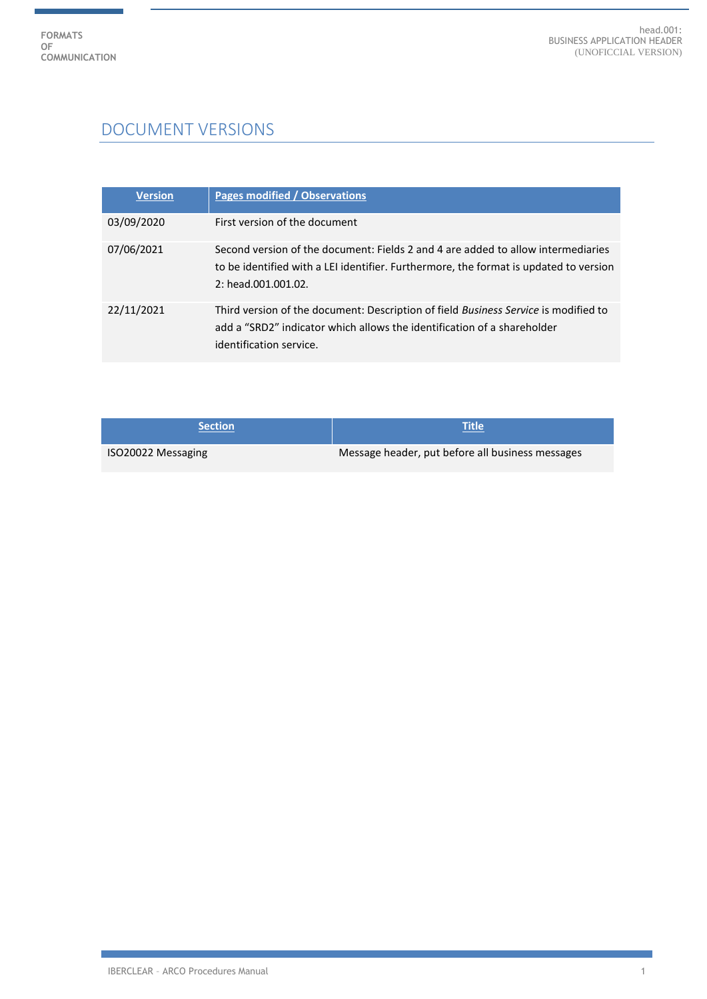## DOCUMENT VERSIONS

| <b>Version</b> | Pages modified / Observations                                                                                                                                                                    |
|----------------|--------------------------------------------------------------------------------------------------------------------------------------------------------------------------------------------------|
| 03/09/2020     | First version of the document                                                                                                                                                                    |
| 07/06/2021     | Second version of the document: Fields 2 and 4 are added to allow intermediaries<br>to be identified with a LEI identifier. Furthermore, the format is updated to version<br>2: head.001.001.02. |
| 22/11/2021     | Third version of the document: Description of field <i>Business Service</i> is modified to<br>add a "SRD2" indicator which allows the identification of a shareholder<br>identification service. |

| <b>Section</b>     | Title                                            |
|--------------------|--------------------------------------------------|
| ISO20022 Messaging | Message header, put before all business messages |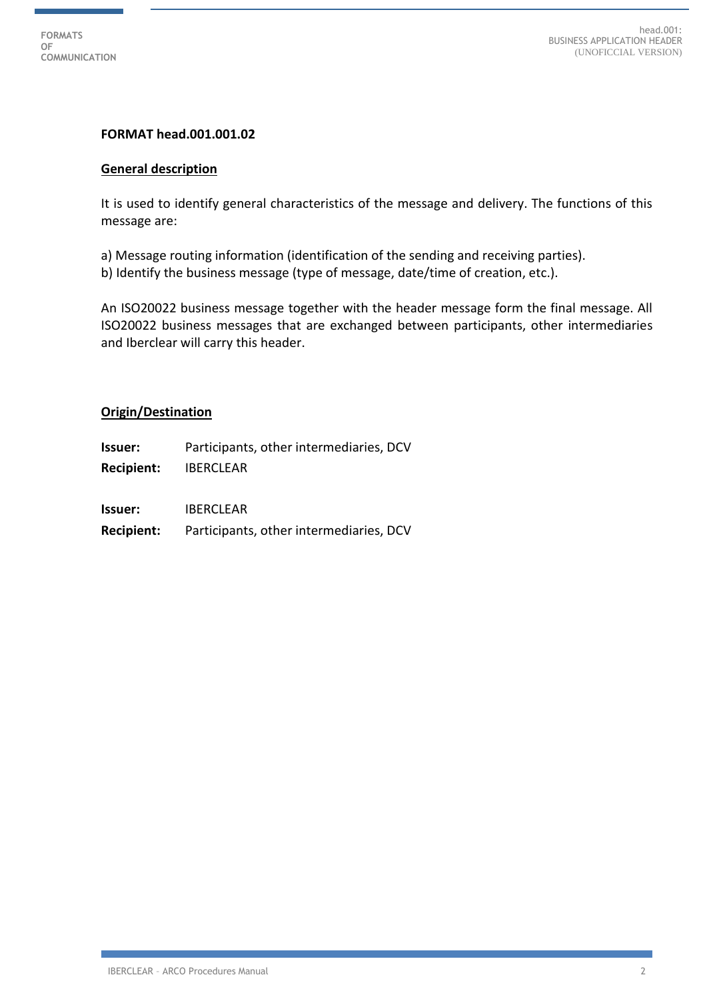#### **FORMAT head.001.001.02**

#### **General description**

It is used to identify general characteristics of the message and delivery. The functions of this message are:

a) Message routing information (identification of the sending and receiving parties). b) Identify the business message (type of message, date/time of creation, etc.).

An ISO20022 business message together with the header message form the final message. All ISO20022 business messages that are exchanged between participants, other intermediaries and Iberclear will carry this header.

#### **Origin/Destination**

| Issuer: |  | Participants, other intermediaries, DCV |  |
|---------|--|-----------------------------------------|--|
|---------|--|-----------------------------------------|--|

**Recipient:** IBERCLEAR

**Issuer:** IBERCLEAR

**Recipient:** Participants, other intermediaries, DCV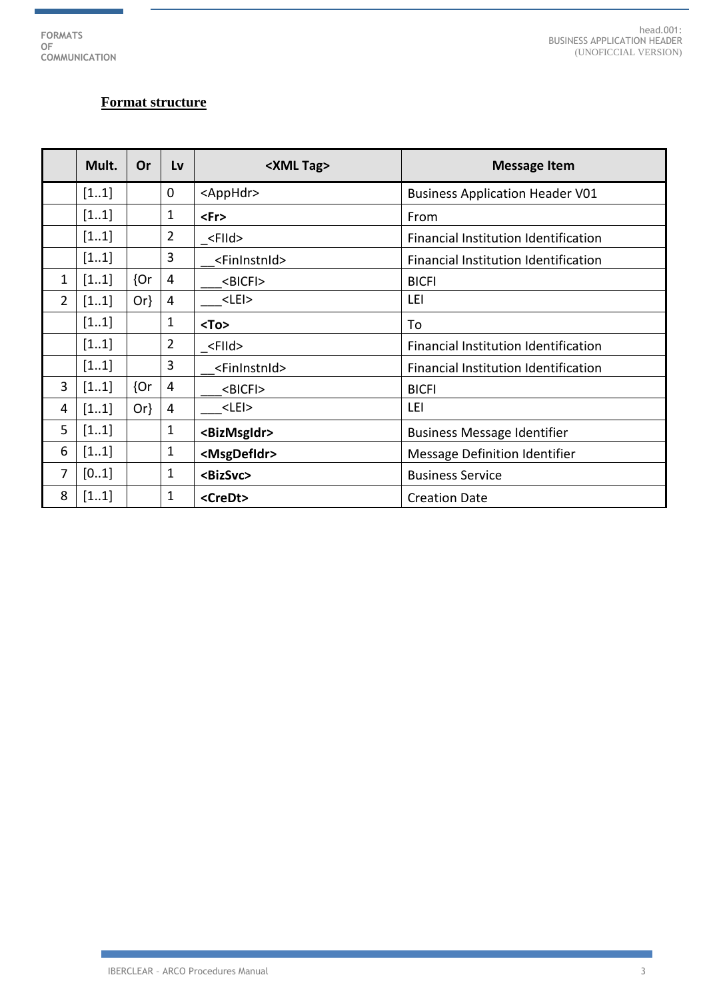ŧ

### **Format structure**

|                | Mult. | Or     | Lv             | <xml tag=""></xml>        | <b>Message Item</b>                    |
|----------------|-------|--------|----------------|---------------------------|----------------------------------------|
|                | [11]  |        | 0              | <apphdr></apphdr>         | <b>Business Application Header V01</b> |
|                | [11]  |        | 1              | <fr></fr>                 | From                                   |
|                | [11]  |        | $\overline{2}$ | <flid></flid>             | Financial Institution Identification   |
|                | [11]  |        | 3              | <fininstnid></fininstnid> | Financial Institution Identification   |
| 1              | [11]  | ${or}$ | 4              | <bicfi></bicfi>           | <b>BICFI</b>                           |
| $\overline{2}$ | [11]  | $Or\}$ | 4              | $<$ LEI $>$               | LEI                                    |
|                | [11]  |        | 1              | $<$ To $>$                | To                                     |
|                | [11]  |        | $\overline{2}$ | <flid></flid>             | Financial Institution Identification   |
|                | [11]  |        | 3              | <fininstnid></fininstnid> | Financial Institution Identification   |
| 3              | [11]  | ${or}$ | 4              | <bicfi></bicfi>           | <b>BICFI</b>                           |
| 4              | [11]  | $Or\}$ | $\overline{4}$ | $<$ LEI $>$               | LEI                                    |
| 5              | [11]  |        | $\mathbf{1}$   | <bizmsgldr></bizmsgldr>   | <b>Business Message Identifier</b>     |
| 6              | [11]  |        | 1              | <msgdefidr></msgdefidr>   | Message Definition Identifier          |
| 7              | [01]  |        | $\mathbf{1}$   | <bizsvc></bizsvc>         | <b>Business Service</b>                |
| 8              | [11]  |        | 1              | <credt></credt>           | <b>Creation Date</b>                   |